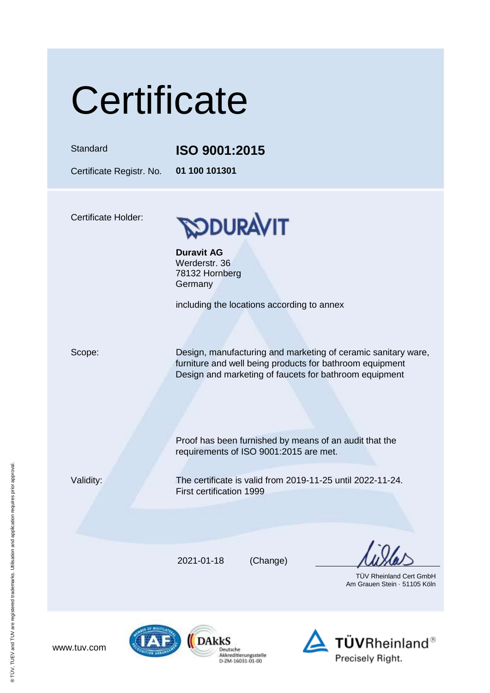# **Certificate**

### Standard **ISO 9001:2015**

Certificate Registr. No. **01 100 101301**

Certificate Holder:



**Duravit AG** Werderstr. 36 78132 Hornberg Germany

including the locations according to annex

Scope: Design, manufacturing and marketing of ceramic sanitary ware, furniture and well being products for bathroom equipment Design and marketing of faucets for bathroom equipment

> Proof has been furnished by means of an audit that the requirements of ISO 9001:2015 are met.

www.tuv.com

Validity: The certificate is valid from 2019-11-25 until 2022-11-24. First certification 1999

2021-01-18 (Change)

Deutsche Akkreditierungsstelle<br>D-ZM-16031-01-00

 TÜV Rheinland Cert GmbH Am Grauen Stein · 51105 Köln



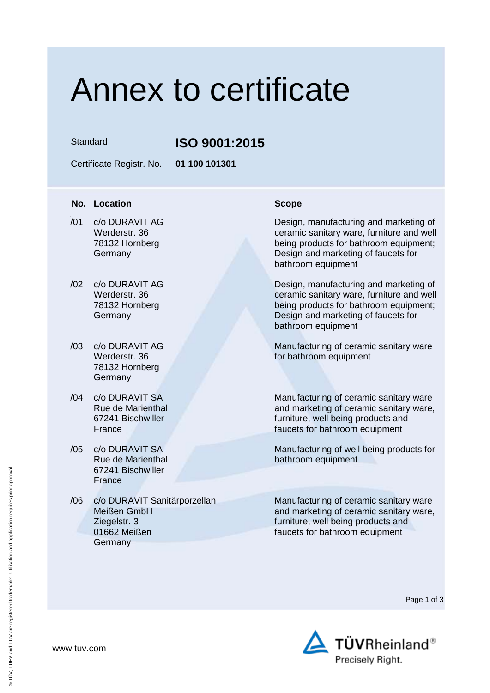### Annex to certificate

Standard **ISO 9001:2015**

Certificate Registr. No. **01 100 101301**

### **No. Location Scope**

- $\overline{101}$ /01 c/o DURAVIT AG Werderstr. 36 78132 Hornberg Germany
- /02 c/o DURAVIT AG Werderstr. 36 78132 Hornberg **Germany**
- /03 c/o DURAVIT AG Werderstr. 36 78132 Hornberg **Germany**
- /04 c/o DURAVIT SA Rue de Marienthal 67241 Bischwiller France
- /05 c/o DURAVIT SA Rue de Marienthal 67241 Bischwiller **France**
- /06 c/o DURAVIT Sanitärporzellan Meißen GmbH Ziegelstr. 3 01662 Meißen **Germany**

Design, manufacturing and marketing of ceramic sanitary ware, furniture and well being products for bathroom equipment; Design and marketing of faucets for bathroom equipment

Design, manufacturing and marketing of ceramic sanitary ware, furniture and well being products for bathroom equipment; Design and marketing of faucets for bathroom equipment

Manufacturing of ceramic sanitary ware for bathroom equipment

Manufacturing of ceramic sanitary ware and marketing of ceramic sanitary ware, furniture, well being products and faucets for bathroom equipment

Manufacturing of well being products for bathroom equipment

Manufacturing of ceramic sanitary ware and marketing of ceramic sanitary ware, furniture, well being products and faucets for bathroom equipment

Page 1 of 3



www.tuv.com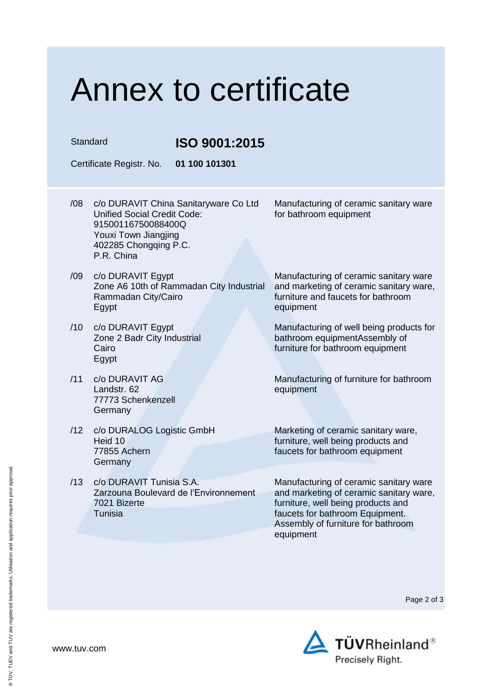## Annex to certificate

Standard **ISO 9001:2015**

Certificate Registr. No. **01 100 101301**

- /08 c/o DURAVIT China Sanitaryware Co Ltd Unified Social Credit Code: 91500116750088400Q Youxi Town Jiangjing 402285 Chongqing P.C. P.R. China for bathroom equipment
- /09 c/o DURAVIT Egypt Zone A6 10th of Rammadan City Industrial Rammadan City/Cairo Egypt
- /10 c/o DURAVIT Egypt Zone 2 Badr City Industrial Cairo Egypt
- /11 c/o DURAVIT AG Landstr. 62 77773 Schenkenzell Germany
- /12 c/o DURALOG Logistic GmbH Heid 10 77855 Achern **Germany**
- /13 c/o DURAVIT Tunisia S.A. Zarzouna Boulevard de l'Environnement 7021 Bizerte Tunisia

Manufacturing of ceramic sanitary ware

Manufacturing of ceramic sanitary ware and marketing of ceramic sanitary ware, furniture and faucets for bathroom equipment

Manufacturing of well being products for bathroom equipmentAssembly of furniture for bathroom equipment

Manufacturing of furniture for bathroom equipment

Marketing of ceramic sanitary ware, furniture, well being products and faucets for bathroom equipment

Manufacturing of ceramic sanitary ware and marketing of ceramic sanitary ware, furniture, well being products and faucets for bathroom Equipment. Assembly of furniture for bathroom equipment

Page 2 of 3